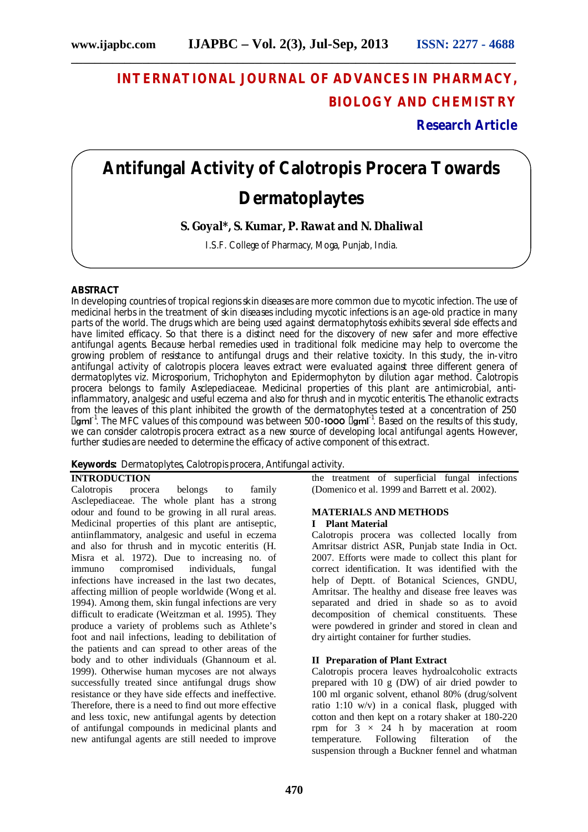## **INTERNATIONAL JOURNAL OF ADVANCES IN PHARMACY, BIOLOGY AND CHEMISTRY**

**Research Article**

# **Antifungal Activity of Calotropis Procera Towards Dermatoplaytes**

**S. Goyal\*, S. Kumar, P. Rawat and N. Dhaliwal**

I.S.F. College of Pharmacy, Moga, Punjab, India.

#### **ABSTRACT**

In developing countries of tropical regions skin diseases are more common due to mycotic infection. The use of medicinal herbs in the treatment of skin diseases including mycotic infections is an age-old practice in many parts of the world. The drugs which are being used against dermatophytosis exhibits several side effects and have limited efficacy. So that there is a distinct need for the discovery of new safer and more effective antifungal agents. Because herbal remedies used in traditional folk medicine may help to overcome the growing problem of resistance to antifungal drugs and their relative toxicity. In this study, the in-vitro antifungal activity of calotropis plocera leaves extract were evaluated against three different genera of dermatoplytes viz. Microsporium, Trichophyton and Epidermophyton by dilution agar method. Calotropis procera belongs to family Asclepediaceae. Medicinal properties of this plant are antimicrobial, antiinflammatory, analgesic and useful eczema and also for thrush and in mycotic enteritis. The ethanolic extracts from the leaves of this plant inhibited the growth of the dermatophytes tested at a concentration of 250 IgmI<sup>-1</sup>. The MFC values of this compound was between 500-1000 IgmI<sup>-1</sup>. Based on the results of this study, we can consider calotropis procera extract as a new source of developing local antifungal agents. However, further studies are needed to determine the efficacy of active component of this extract.

#### **Keywords:** Dermatoplytes, Calotropis procera, Antifungal activity.

### **INTRODUCTION**

Calotropis procera belongs to family Asclepediaceae. The whole plant has a strong odour and found to be growing in all rural areas. Medicinal properties of this plant are antiseptic, antiinflammatory, analgesic and useful in eczema and also for thrush and in mycotic enteritis (H. Misra et al. 1972). Due to increasing no. of immuno compromised individuals, fungal immuno compromised individuals, fungal infections have increased in the last two decates, affecting million of people worldwide (Wong et al. 1994). Among them, skin fungal infections are very difficult to eradicate (Weitzman et al. 1995). They produce a variety of problems such as Athlete's foot and nail infections, leading to debilitation of the patients and can spread to other areas of the body and to other individuals (Ghannoum et al. 1999). Otherwise human mycoses are not always successfully treated since antifungal drugs show resistance or they have side effects and ineffective. Therefore, there is a need to find out more effective and less toxic, new antifungal agents by detection of antifungal compounds in medicinal plants and new antifungal agents are still needed to improve

the treatment of superficial fungal infections (Domenico et al. 1999 and Barrett et al. 2002).

#### **MATERIALS AND METHODS I Plant Material**

Calotropis procera was collected locally from Amritsar district ASR, Punjab state India in Oct. 2007. Efforts were made to collect this plant for correct identification. It was identified with the help of Deptt. of Botanical Sciences, GNDU, Amritsar. The healthy and disease free leaves was separated and dried in shade so as to avoid decomposition of chemical constituents. These were powdered in grinder and stored in clean and dry airtight container for further studies.

#### **II Preparation of Plant Extract**

Calotropis procera leaves hydroalcoholic extracts prepared with 10 g (DW) of air dried powder to 100 ml organic solvent, ethanol 80% (drug/solvent ratio 1:10 w/v) in a conical flask, plugged with cotton and then kept on a rotary shaker at 180-220 rpm for  $3 \times 24$  h by maceration at room<br>temperature. Following filteration of the temperature. suspension through a Buckner fennel and whatman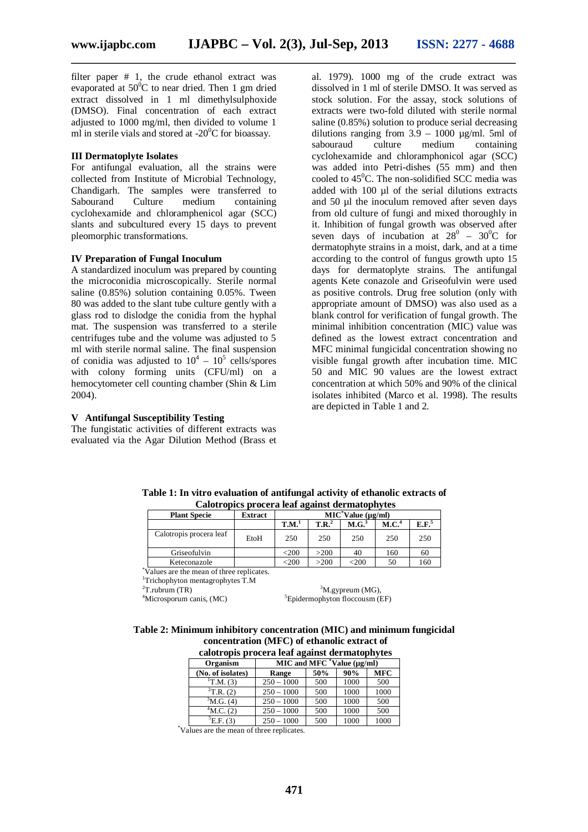filter paper # 1, the crude ethanol extract was evaporated at  $50^{\circ}$ C to near dried. Then 1 gm dried extract dissolved in 1 ml dimethylsulphoxide (DMSO). Final concentration of each extract adjusted to 1000 mg/ml, then divided to volume 1 ml in sterile vials and stored at  $-20^{\circ}$ C for bioassay.

#### **III Dermatoplyte Isolates**

For antifungal evaluation, all the strains were collected from Institute of Microbial Technology, Chandigarh. The samples were transferred to Sabourand Culture medium containing cyclohexamide and chloramphenicol agar (SCC) slants and subcultured every 15 days to prevent pleomorphic transformations.

#### **IV Preparation of Fungal Inoculum**

A standardized inoculum was prepared by counting the microconidia microscopically. Sterile normal saline (0.85%) solution containing 0.05%. Tween 80 was added to the slant tube culture gently with a glass rod to dislodge the conidia from the hyphal mat. The suspension was transferred to a sterile centrifuges tube and the volume was adjusted to 5 ml with sterile normal saline. The final suspension of conidia was adjusted to  $10^4 - 10^5$  cells/spores with colony forming units (CFU/ml) on a hemocytometer cell counting chamber (Shin & Lim 2004).

#### **V Antifungal Susceptibility Testing**

The fungistatic activities of different extracts was evaluated via the Agar Dilution Method (Brass et al. 1979). 1000 mg of the crude extract was dissolved in 1 ml of sterile DMSO. It was served as stock solution. For the assay, stock solutions of extracts were two-fold diluted with sterile normal saline (0.85%) solution to produce serial decreasing dilutions ranging from  $3.9 - 1000$   $\mu$ g/ml. 5ml of sabouraud culture medium containing cyclohexamide and chloramphonicol agar (SCC) was added into Petri-dishes (55 mm) and then cooled to  $45^{\circ}$ C. The non-solidified SCC media was added with 100 µl of the serial dilutions extracts and 50 µl the inoculum removed after seven days from old culture of fungi and mixed thoroughly in it. Inhibition of fungal growth was observed after seven days of incubation at  $28^0$  –  $30^0C$  for dermatophyte strains in a moist, dark, and at a time according to the control of fungus growth upto 15 days for dermatoplyte strains. The antifungal agents Kete conazole and Griseofulvin were used as positive controls. Drug free solution (only with appropriate amount of DMSO) was also used as a blank control for verification of fungal growth. The minimal inhibition concentration (MIC) value was defined as the lowest extract concentration and MFC minimal fungicidal concentration showing no visible fungal growth after incubation time. MIC 50 and MIC 90 values are the lowest extract concentration at which 50% and 90% of the clinical isolates inhibited (Marco et al. 1998). The results are depicted in Table 1 and 2.

| <b>Plant Specie</b>     | Extract | $MIC$ <sup>*</sup> Value ( $\mu$ g/ml) |          |                   |                   |                   |  |
|-------------------------|---------|----------------------------------------|----------|-------------------|-------------------|-------------------|--|
|                         |         | T.M. <sup>1</sup>                      | $T.R.^2$ | M.G. <sup>3</sup> | M.C. <sup>4</sup> | E.F. <sup>5</sup> |  |
| Calotropis procera leaf | EtoH    | 250                                    | 250      | 250               | 250               | 250               |  |
| Griseofulvin            |         | <200                                   | >200     | 40                | 160               | 60                |  |
| Keteconazole            |         | $200$                                  | >200     | $\epsilon$ 200    | 50                | 160               |  |

**Table 1: In vitro evaluation of antifungal activity of ethanolic extracts of Calotropics procera leaf against dermatophytes**

\*Values are the mean of three replicates.

<sup>1</sup>Trichophyton mentagrophytes T.M<br> $^{2}$ T.rubrum (TR)

 ${}^{2}$ T.rubrum (TR)  ${}^{3}$ M.gypreum (MG),  ${}^{3}$ M.gypreum (MG),  ${}^{3}$ M.gypreum (MG),  ${}^{3}$ Epidermophyton floccousm (E  ${}^{5}$ Epidermophyton floccousm (EF)

#### **Table 2: Minimum inhibitory concentration (MIC) and minimum fungicidal concentration (MFC) of ethanolic extract of**

| calotropis procera leaf against dermatophytes |                                      |     |      |            |  |  |  |  |
|-----------------------------------------------|--------------------------------------|-----|------|------------|--|--|--|--|
| Organism                                      | MIC and MFC $^*$ Value ( $\mu$ g/ml) |     |      |            |  |  |  |  |
| (No. of isolates)                             | Range                                | 50% | 90%  | <b>MFC</b> |  |  |  |  |
| ${}^{1}T.M. (3)$                              | $250 - 1000$                         | 500 | 1000 | 500        |  |  |  |  |
| ${}^{2}$ T.R. (2)                             | $250 - 1000$                         | 500 | 1000 | 1000       |  |  |  |  |
| ${}^{3}$ M.G. (4)                             | $250 - 1000$                         | 500 | 1000 | 500        |  |  |  |  |
| $^4$ M.C. (2)                                 | $250 - 1000$                         | 500 | 1000 | 500        |  |  |  |  |
| $^5E$ .F. (3)                                 | $250 - 1000$                         | 500 | 1000 | 1000       |  |  |  |  |

\*Values are the mean of three replicates.